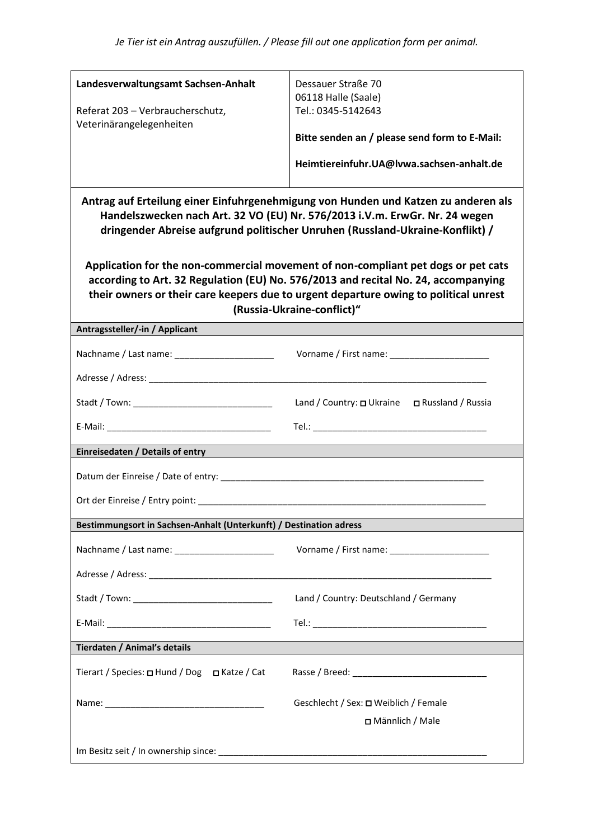| Landesverwaltungsamt Sachsen-Anhalt                                                                                                                                                                                                                                                           | Dessauer Straße 70                            |  |
|-----------------------------------------------------------------------------------------------------------------------------------------------------------------------------------------------------------------------------------------------------------------------------------------------|-----------------------------------------------|--|
| Referat 203 - Verbraucherschutz,                                                                                                                                                                                                                                                              | 06118 Halle (Saale)<br>Tel.: 0345-5142643     |  |
| Veterinärangelegenheiten                                                                                                                                                                                                                                                                      |                                               |  |
|                                                                                                                                                                                                                                                                                               | Bitte senden an / please send form to E-Mail: |  |
|                                                                                                                                                                                                                                                                                               | Heimtiereinfuhr.UA@lvwa.sachsen-anhalt.de     |  |
| Antrag auf Erteilung einer Einfuhrgenehmigung von Hunden und Katzen zu anderen als<br>Handelszwecken nach Art. 32 VO (EU) Nr. 576/2013 i.V.m. ErwGr. Nr. 24 wegen<br>dringender Abreise aufgrund politischer Unruhen (Russland-Ukraine-Konflikt) /                                            |                                               |  |
| Application for the non-commercial movement of non-compliant pet dogs or pet cats<br>according to Art. 32 Regulation (EU) No. 576/2013 and recital No. 24, accompanying<br>their owners or their care keepers due to urgent departure owing to political unrest<br>(Russia-Ukraine-conflict)" |                                               |  |
| Antragssteller/-in / Applicant                                                                                                                                                                                                                                                                |                                               |  |
| Nachname / Last name: ________________________                                                                                                                                                                                                                                                |                                               |  |
|                                                                                                                                                                                                                                                                                               |                                               |  |
|                                                                                                                                                                                                                                                                                               | Land / Country: 0 Ukraine 0 Russland / Russia |  |
|                                                                                                                                                                                                                                                                                               |                                               |  |
| Einreisedaten / Details of entry                                                                                                                                                                                                                                                              |                                               |  |
| Datum der Einreise / Date of entry: __________                                                                                                                                                                                                                                                |                                               |  |
|                                                                                                                                                                                                                                                                                               |                                               |  |
| Bestimmungsort in Sachsen-Anhalt (Unterkunft) / Destination adress                                                                                                                                                                                                                            |                                               |  |
| Nachname / Last name: ________________________                                                                                                                                                                                                                                                |                                               |  |
|                                                                                                                                                                                                                                                                                               |                                               |  |
|                                                                                                                                                                                                                                                                                               | Land / Country: Deutschland / Germany         |  |
|                                                                                                                                                                                                                                                                                               |                                               |  |
| Tierdaten / Animal's details                                                                                                                                                                                                                                                                  |                                               |  |
| Tierart / Species: □ Hund / Dog □ Katze / Cat                                                                                                                                                                                                                                                 |                                               |  |
|                                                                                                                                                                                                                                                                                               | Geschlecht / Sex: □ Weiblich / Female         |  |
|                                                                                                                                                                                                                                                                                               | □ Männlich / Male                             |  |
|                                                                                                                                                                                                                                                                                               |                                               |  |
|                                                                                                                                                                                                                                                                                               |                                               |  |